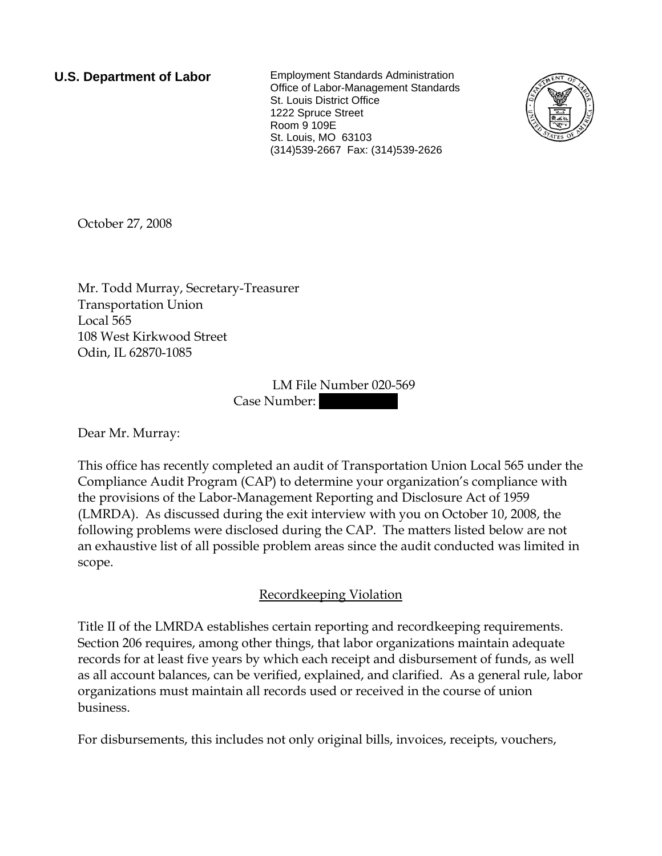**U.S. Department of Labor** Employment Standards Administration Office of Labor-Management Standards St. Louis District Office 1222 Spruce Street Room 9 109E St. Louis, MO 63103 (314)539-2667 Fax: (314)539-2626



October 27, 2008

Mr. Todd Murray, Secretary-Treasurer Transportation Union Local 565 108 West Kirkwood Street Odin, IL 62870-1085

> LM File Number 020-569 Case Number:

Dear Mr. Murray:

This office has recently completed an audit of Transportation Union Local 565 under the Compliance Audit Program (CAP) to determine your organization's compliance with the provisions of the Labor-Management Reporting and Disclosure Act of 1959 (LMRDA). As discussed during the exit interview with you on October 10, 2008, the following problems were disclosed during the CAP. The matters listed below are not an exhaustive list of all possible problem areas since the audit conducted was limited in scope.

## Recordkeeping Violation

Title II of the LMRDA establishes certain reporting and recordkeeping requirements. Section 206 requires, among other things, that labor organizations maintain adequate records for at least five years by which each receipt and disbursement of funds, as well as all account balances, can be verified, explained, and clarified. As a general rule, labor organizations must maintain all records used or received in the course of union business.

For disbursements, this includes not only original bills, invoices, receipts, vouchers,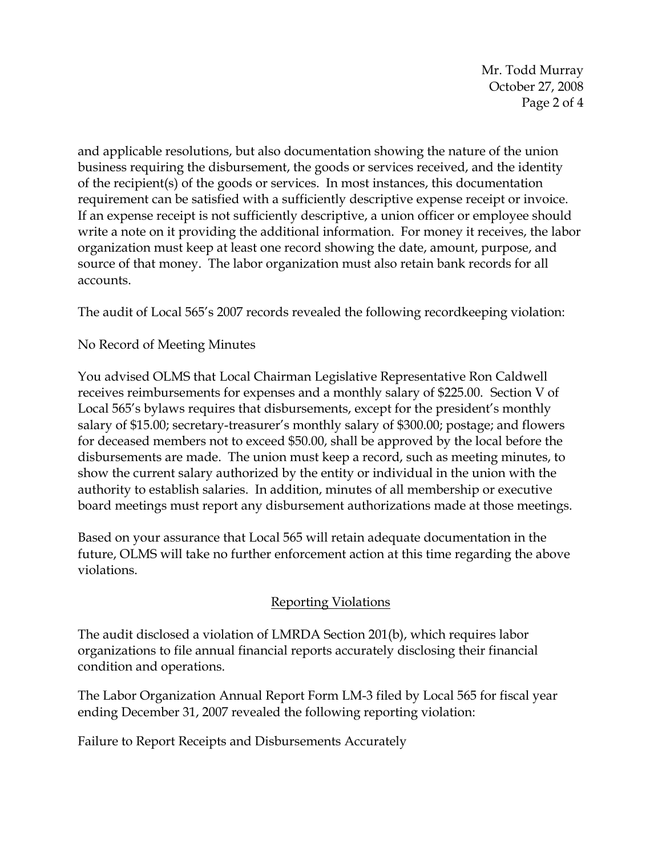Mr. Todd Murray October 27, 2008 Page 2 of 4

and applicable resolutions, but also documentation showing the nature of the union business requiring the disbursement, the goods or services received, and the identity of the recipient(s) of the goods or services. In most instances, this documentation requirement can be satisfied with a sufficiently descriptive expense receipt or invoice. If an expense receipt is not sufficiently descriptive, a union officer or employee should write a note on it providing the additional information. For money it receives, the labor organization must keep at least one record showing the date, amount, purpose, and source of that money. The labor organization must also retain bank records for all accounts.

The audit of Local 565's 2007 records revealed the following recordkeeping violation:

No Record of Meeting Minutes

You advised OLMS that Local Chairman Legislative Representative Ron Caldwell receives reimbursements for expenses and a monthly salary of \$225.00. Section V of Local 565's bylaws requires that disbursements, except for the president's monthly salary of \$15.00; secretary-treasurer's monthly salary of \$300.00; postage; and flowers for deceased members not to exceed \$50.00, shall be approved by the local before the disbursements are made. The union must keep a record, such as meeting minutes, to show the current salary authorized by the entity or individual in the union with the authority to establish salaries. In addition, minutes of all membership or executive board meetings must report any disbursement authorizations made at those meetings.

Based on your assurance that Local 565 will retain adequate documentation in the future, OLMS will take no further enforcement action at this time regarding the above violations.

## Reporting Violations

The audit disclosed a violation of LMRDA Section 201(b), which requires labor organizations to file annual financial reports accurately disclosing their financial condition and operations.

The Labor Organization Annual Report Form LM-3 filed by Local 565 for fiscal year ending December 31, 2007 revealed the following reporting violation:

Failure to Report Receipts and Disbursements Accurately